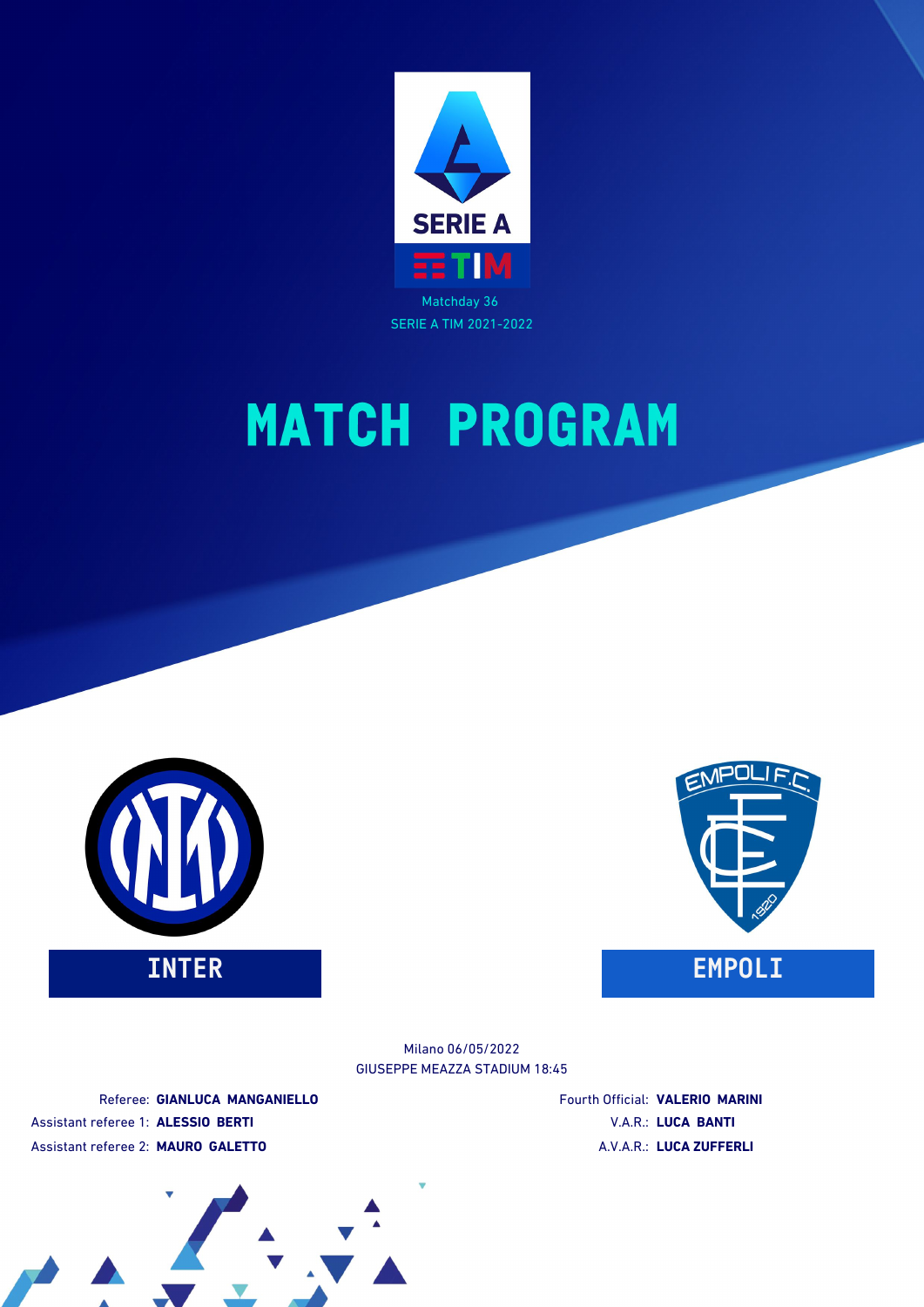





GIUSEPPE MEAZZA STADIUM 18:45 Milano 06/05/2022

Referee: **GIANLUCA MANGANIELLO** Assistant referee 1: **ALESSIO BERTI** Assistant referee 2: **MAURO GALETTO**

Fourth Official: **VALERIO MARINI** V.A.R.: **LUCA BANTI** A.V.A.R.: **LUCA ZUFFERLI**

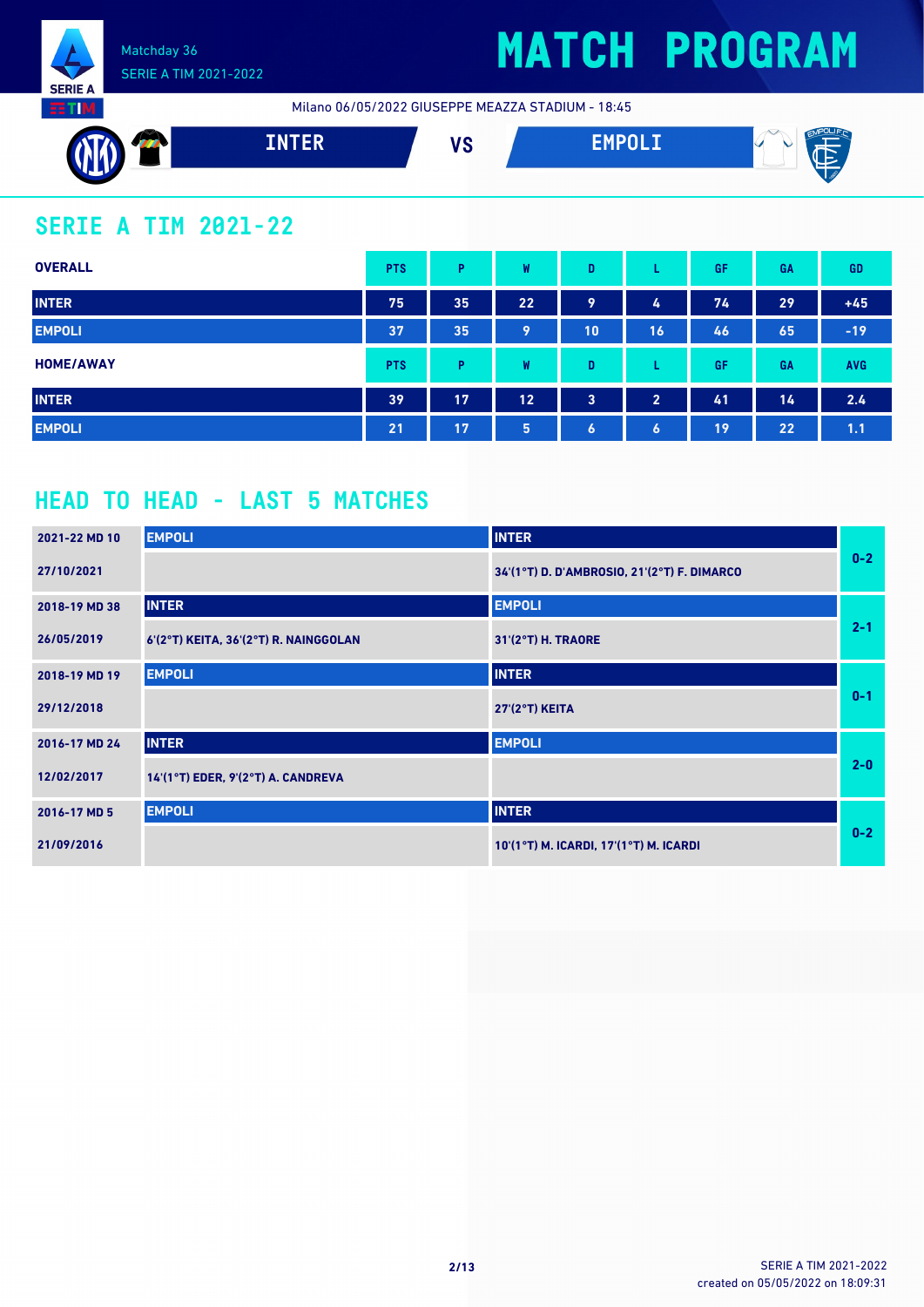

Milano 06/05/2022 GIUSEPPE MEAZZA STADIUM - 18:45



### **SERIE A TIM 2021-22**

| <b>OVERALL</b>   | <b>PTS</b> | P  | W  | D         |                  | GF | GA | <b>GD</b>  |
|------------------|------------|----|----|-----------|------------------|----|----|------------|
| <b>INTER</b>     | 75         | 35 | 22 | 9         | 4                | 74 | 29 | $+45$      |
| <b>EMPOLI</b>    | 37         | 35 | 9  | 10        | 16               | 46 | 65 | $-19$      |
| <b>HOME/AWAY</b> | <b>PTS</b> | P  | W  | D         |                  | GF | GA | <b>AVG</b> |
| <b>INTER</b>     | 39         | 17 | 12 | 3         | $\overline{2}$   | 41 | 14 | 2.4        |
| <b>EMPOLI</b>    | 21         | 17 | 5  | $\bullet$ | $\boldsymbol{6}$ | 19 | 22 | 1.1        |

### **HEAD TO HEAD - LAST 5 MATCHES**

| 2021-22 MD 10 | <b>EMPOLI</b>                         | <b>INTER</b>                                |         |
|---------------|---------------------------------------|---------------------------------------------|---------|
| 27/10/2021    |                                       | 34'(1°T) D. D'AMBROSIO, 21'(2°T) F. DIMARCO | $0-2$   |
| 2018-19 MD 38 | <b>INTER</b>                          | <b>EMPOLI</b>                               |         |
| 26/05/2019    | 6'(2°T) KEITA, 36'(2°T) R. NAINGGOLAN | 31'(2°T) H. TRAORE                          | $2 - 1$ |
| 2018-19 MD 19 | <b>EMPOLI</b>                         | <b>INTER</b>                                |         |
| 29/12/2018    |                                       | <b>27'(2°T) KEITA</b>                       | $0 - 1$ |
| 2016-17 MD 24 | <b>INTER</b>                          | <b>EMPOLI</b>                               |         |
| 12/02/2017    | $14'(1°T)$ EDER, 9'(2°T) A. CANDREVA  |                                             | $2 - 0$ |
| 2016-17 MD 5  | <b>EMPOLI</b>                         | <b>INTER</b>                                |         |
| 21/09/2016    |                                       | 10'(1°T) M. ICARDI, 17'(1°T) M. ICARDI      | $0-2$   |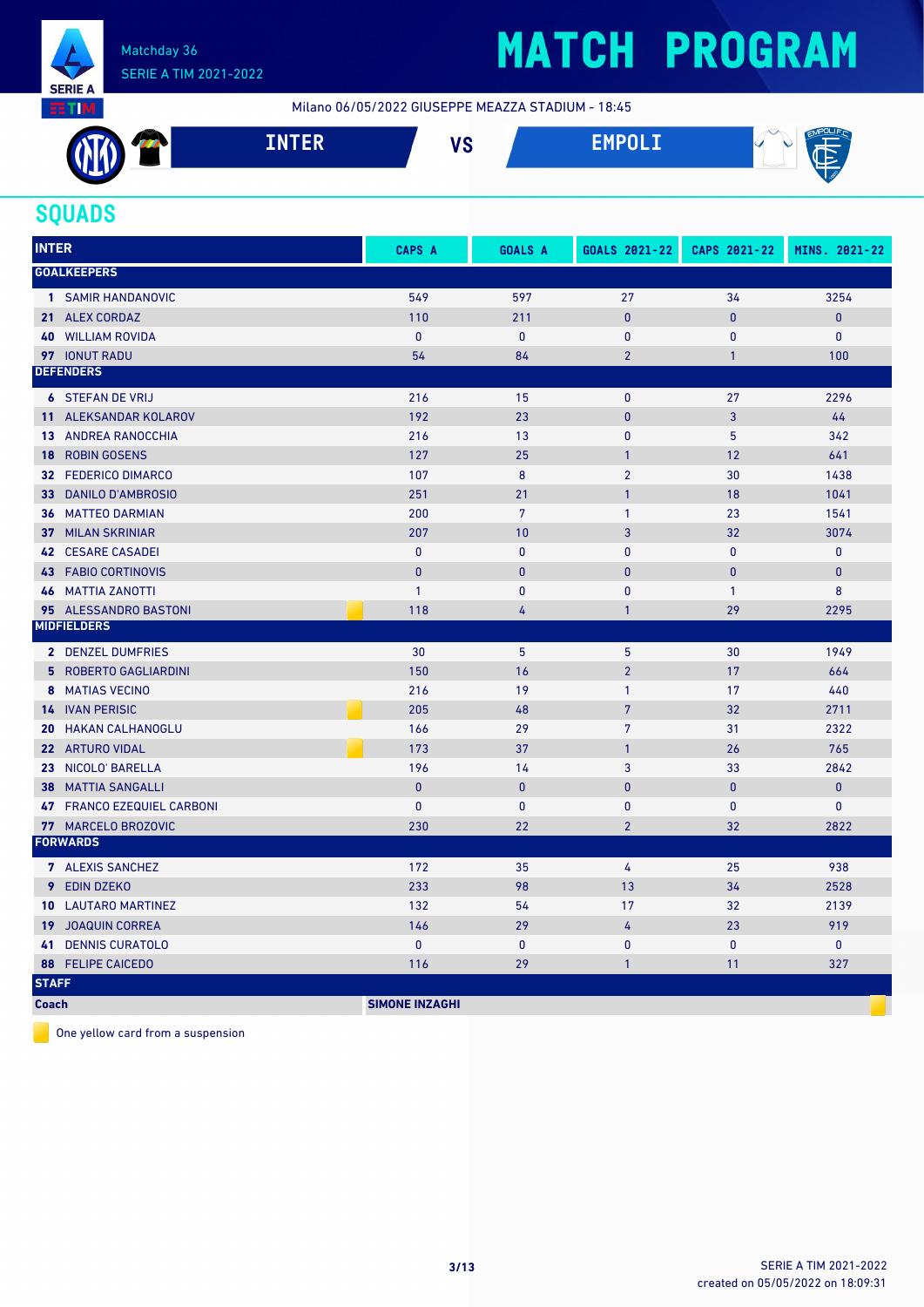

Milano 06/05/2022 GIUSEPPE MEAZZA STADIUM - 18:45



#### **SQUADS**

| <b>INTER</b>                   | CAPS A                | <b>GOALS A</b> | GOALS 2021-22  | CAPS 2021-22   | MINS. 2021-22 |
|--------------------------------|-----------------------|----------------|----------------|----------------|---------------|
| <b>GOALKEEPERS</b>             |                       |                |                |                |               |
| 1 SAMIR HANDANOVIC             | 549                   | 597            | 27             | 34             | 3254          |
| 21 ALEX CORDAZ                 | 110                   | 211            | $\mathbf{0}$   | $\mathbf{0}$   | $\pmb{0}$     |
| <b>WILLIAM ROVIDA</b><br>40    | $\mathbf{0}$          | $\mathbf{0}$   | 0              | $\mathbf{0}$   | $\mathbf{0}$  |
| 97 IONUT RADU                  | 54                    | 84             | $\overline{2}$ | $\mathbf{1}$   | 100           |
| <b>DEFENDERS</b>               |                       |                |                |                |               |
| <b>6 STEFAN DE VRIJ</b>        | 216                   | 15             | $\mathbf 0$    | 27             | 2296          |
| 11 ALEKSANDAR KOLAROV          | 192                   | 23             | $\mathbf{0}$   | 3              | 44            |
| <b>13 ANDREA RANOCCHIA</b>     | 216                   | 13             | $\mathbf{0}$   | 5              | 342           |
| <b>ROBIN GOSENS</b><br>18      | 127                   | 25             | $\mathbf{1}$   | 12             | 641           |
| 32 FEDERICO DIMARCO            | 107                   | 8              | $\overline{2}$ | 30             | 1438          |
| <b>DANILO D'AMBROSIO</b><br>33 | 251                   | 21             | $\mathbf{1}$   | 18             | 1041          |
| <b>36 MATTEO DARMIAN</b>       | 200                   | $\overline{7}$ | $\mathbf{1}$   | 23             | 1541          |
| <b>37 MILAN SKRINIAR</b>       | 207                   | 10             | $\overline{3}$ | 32             | 3074          |
| <b>42 CESARE CASADEI</b>       | $\pmb{0}$             | $\mathbf{0}$   | $\mathbf{0}$   | $\mathbf{0}$   | $\pmb{0}$     |
| <b>43 FABIO CORTINOVIS</b>     | $\mathbf{0}$          | $\mathbf{0}$   | $\mathbf{0}$   | $\overline{0}$ | $\pmb{0}$     |
| <b>46 MATTIA ZANOTTI</b>       | $\mathbf{1}$          | $\mathbf{0}$   | $\mathbf{0}$   | $\mathbf{1}$   | 8             |
| 95 ALESSANDRO BASTONI          | 118                   | 4              | $\mathbf{1}$   | 29             | 2295          |
| <b>MIDFIELDERS</b>             |                       |                |                |                |               |
| 2 DENZEL DUMFRIES              | 30                    | 5              | 5              | 30             | 1949          |
| 5 ROBERTO GAGLIARDINI          | 150                   | 16             | $\overline{2}$ | 17             | 664           |
| 8 MATIAS VECINO                | 216                   | 19             | $\mathbf{1}$   | 17             | 440           |
| <b>14 IVAN PERISIC</b>         | 205                   | 48             | $\overline{7}$ | 32             | 2711          |
| <b>HAKAN CALHANOGLU</b><br>20  | 166                   | 29             | $\overline{7}$ | 31             | 2322          |
| 22 ARTURO VIDAL                | 173                   | 37             | $\mathbf{1}$   | 26             | 765           |
| 23 NICOLO' BARELLA             | 196                   | 14             | 3              | 33             | 2842          |
| <b>MATTIA SANGALLI</b><br>38   | $\mathbf{0}$          | $\mathbf{0}$   | $\mathbf{0}$   | $\mathbf{0}$   | $\pmb{0}$     |
| 47 FRANCO EZEQUIEL CARBONI     | $\mathbf{0}$          | $\mathbf{0}$   | $\mathbf{0}$   | $\mathbf{0}$   | $\pmb{0}$     |
| 77 MARCELO BROZOVIC            | 230                   | 22             | $\overline{2}$ | 32             | 2822          |
| <b>FORWARDS</b>                |                       |                |                |                |               |
| 7 ALEXIS SANCHEZ               | 172                   | 35             | 4              | 25             | 938           |
| <b>9</b> EDIN DZEKO            | 233                   | 98             | 13             | 34             | 2528          |
| <b>10 LAUTARO MARTINEZ</b>     | 132                   | 54             | 17             | 32             | 2139          |
| <b>19 JOAQUIN CORREA</b>       | 146                   | 29             | 4              | 23             | 919           |
| <b>DENNIS CURATOLO</b><br>41   | $\mathbf{0}$          | $\mathbf{0}$   | $\mathbf{0}$   | $\mathbf{0}$   | $\mathbf{0}$  |
| <b>FELIPE CAICEDO</b><br>88    | 116                   | 29             | $\mathbf{1}$   | 11             | 327           |
| <b>STAFF</b>                   |                       |                |                |                |               |
| <b>Coach</b>                   | <b>SIMONE INZAGHI</b> |                |                |                |               |

One yellow card from a suspension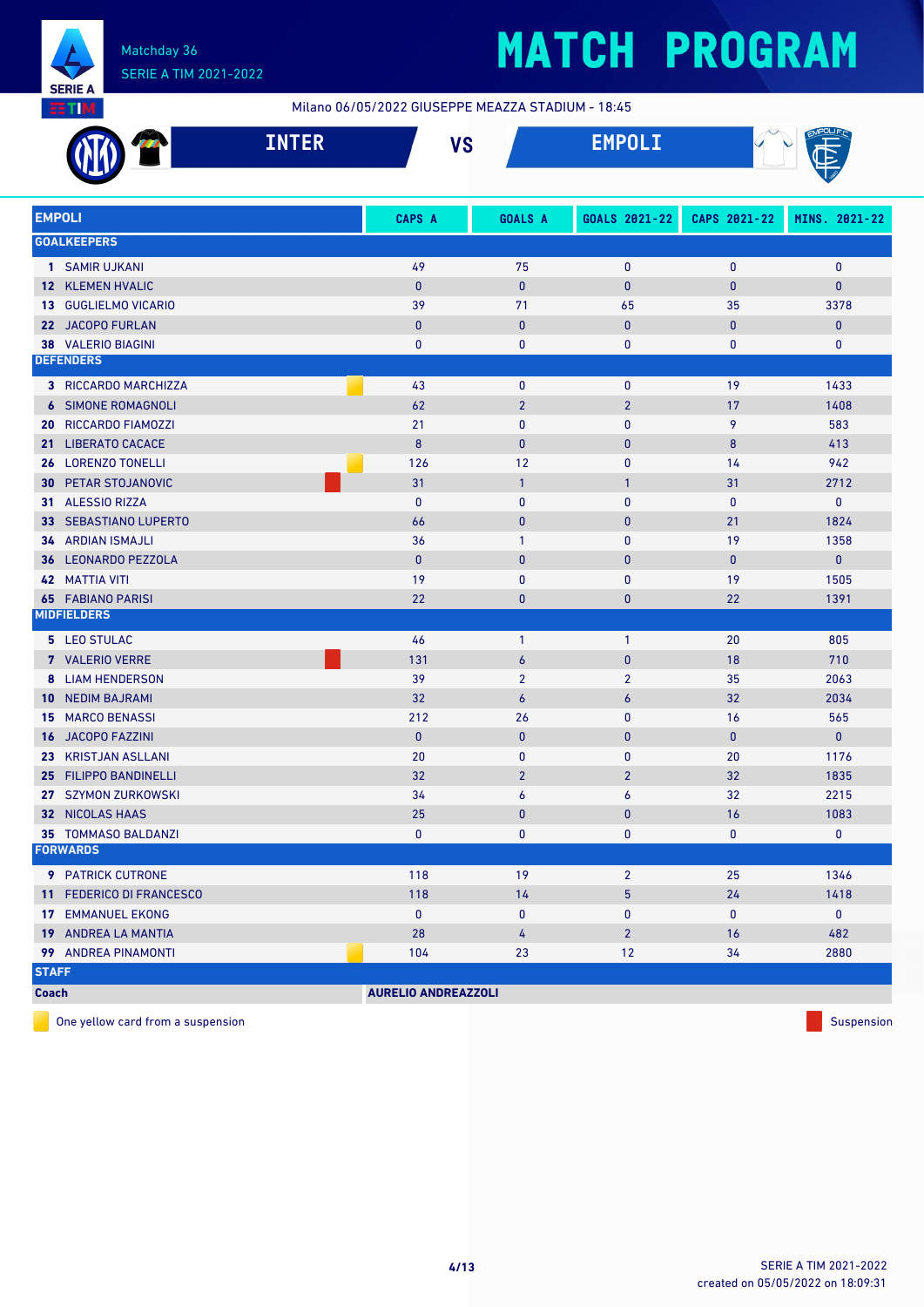

Milano 06/05/2022 GIUSEPPE MEAZZA STADIUM - 18:45

|                 | <b>INTER</b>               | <b>VS</b>                  |                  | <b>EMPOLI</b>    |              |               |
|-----------------|----------------------------|----------------------------|------------------|------------------|--------------|---------------|
| <b>EMPOLI</b>   |                            | CAPS A                     | GOALS A          | GOALS 2021-22    | CAPS 2021-22 | MINS. 2021-22 |
|                 | <b>GOALKEEPERS</b>         |                            |                  |                  |              |               |
|                 | 1 SAMIR UJKANI             | 49                         | 75               | $\mathbf{0}$     | $\bf{0}$     | $\mathbf 0$   |
|                 | 12 KLEMEN HVALIC           | $\mathbf{0}$               | $\mathbf{0}$     | $\mathbf{0}$     | $\bf{0}$     | 0             |
|                 | 13 GUGLIELMO VICARIO       | 39                         | 71               | 65               | 35           | 3378          |
|                 | 22 JACOPO FURLAN           | $\mathbf{0}$               | $\mathbf{0}$     | $\mathbf{0}$     | $\mathbf{0}$ | $\pmb{0}$     |
|                 | 38 VALERIO BIAGINI         | $\bf{0}$                   | $\bf{0}$         | 0                | 0            | 0             |
|                 | <b>DEFENDERS</b>           |                            |                  |                  |              |               |
|                 | 3 RICCARDO MARCHIZZA       | 43                         | $\mathbf 0$      | $\mathbf{0}$     | 19           | 1433          |
|                 | <b>6 SIMONE ROMAGNOLI</b>  | 62                         | $\overline{2}$   | $\overline{2}$   | 17           | 1408          |
| 20              | RICCARDO FIAMOZZI          | 21                         | $\mathbf{0}$     | $\mathbf{0}$     | 9            | 583           |
| 21              | <b>LIBERATO CACACE</b>     | 8                          | $\mathbf{0}$     | $\mathbf{0}$     | 8            | 413           |
| 26              | <b>LORENZO TONELLI</b>     | 126                        | 12               | $\mathbf{0}$     | 14           | 942           |
| 30              | PETAR STOJANOVIC           | 31                         | $\mathbf{1}$     | $\overline{1}$   | 31           | 2712          |
| 31.             | <b>ALESSIO RIZZA</b>       | $\mathbf{0}$               | $\mathbf{0}$     | $\mathbf{0}$     | $\mathbf{0}$ | 0             |
| 33              | <b>SEBASTIANO LUPERTO</b>  | 66                         | $\mathbf{0}$     | $\mathbf{0}$     | 21           | 1824          |
|                 | <b>34 ARDIAN ISMAJLI</b>   | 36                         | $\mathbf{1}$     | $\mathbf{0}$     | 19           | 1358          |
| 36              | <b>LEONARDO PEZZOLA</b>    | $\mathbf{0}$               | $\mathbf{0}$     | $\mathbf{0}$     | $\mathbf{0}$ | $\pmb{0}$     |
|                 | <b>42 MATTIA VITI</b>      | 19                         | 0                | $\mathbf{0}$     | 19           | 1505          |
|                 | <b>65 FABIANO PARISI</b>   | 22                         | $\bf{0}$         | $\pmb{0}$        | 22           | 1391          |
|                 | <b>MIDFIELDERS</b>         |                            |                  |                  |              |               |
|                 | 5 LEO STULAC               | 46                         | $\mathbf{1}$     | $\mathbf{1}$     | 20           | 805           |
|                 | 7 VALERIO VERRE            | 131                        | $\boldsymbol{6}$ | $\mathbf{0}$     | 18           | 710           |
|                 | <b>8 LIAM HENDERSON</b>    | 39                         | $\overline{2}$   | $\overline{2}$   | 35           | 2063          |
| 10 <sup>°</sup> | <b>NEDIM BAJRAMI</b>       | 32                         | $\boldsymbol{6}$ | $\boldsymbol{6}$ | 32           | 2034          |
| 15              | <b>MARCO BENASSI</b>       | 212                        | 26               | 0                | 16           | 565           |
| 16.             | <b>JACOPO FAZZINI</b>      | $\mathbf{0}$               | $\mathbf{0}$     | $\mathbf{0}$     | $\mathbf{0}$ | $\mathbf{0}$  |
| 23              | <b>KRISTJAN ASLLANI</b>    | 20                         | $\mathbf{0}$     | 0                | 20           | 1176          |
| 25              | <b>FILIPPO BANDINELLI</b>  | 32                         | $\overline{2}$   | $\overline{2}$   | 32           | 1835          |
|                 | 27 SZYMON ZURKOWSKI        | 34                         | 6                | 6                | 32           | 2215          |
|                 | 32 NICOLAS HAAS            | 25                         | 0                | $\mathbf{0}$     | 16           | 1083          |
|                 | <b>35 TOMMASO BALDANZI</b> | $\bf{0}$                   | 0                | $\mathbf 0$      | 0            | $\bf{0}$      |
|                 | <b>FORWARDS</b>            |                            |                  |                  |              |               |
|                 | 9 PATRICK CUTRONE          | 118                        | 19               | $\overline{2}$   | 25           | 1346          |
|                 | 11 FEDERICO DI FRANCESCO   | 118                        | 14               | $\overline{5}$   | 24           | 1418          |
|                 | <b>17 EMMANUEL EKONG</b>   | $\pmb{0}$                  | 0                | 0                | 0            | $\mathbf{0}$  |
|                 | 19 ANDREA LA MANTIA        | 28                         | 4                | $\overline{2}$   | 16           | 482           |
|                 | 99 ANDREA PINAMONTI        | 104                        | 23               | 12               | 34           | 2880          |
| <b>STAFF</b>    |                            |                            |                  |                  |              |               |
| <b>Coach</b>    |                            | <b>AURELIO ANDREAZZOLI</b> |                  |                  |              |               |

One yellow card from a suspension Suspension Suspension Suspension Suspension Suspension Suspension Suspension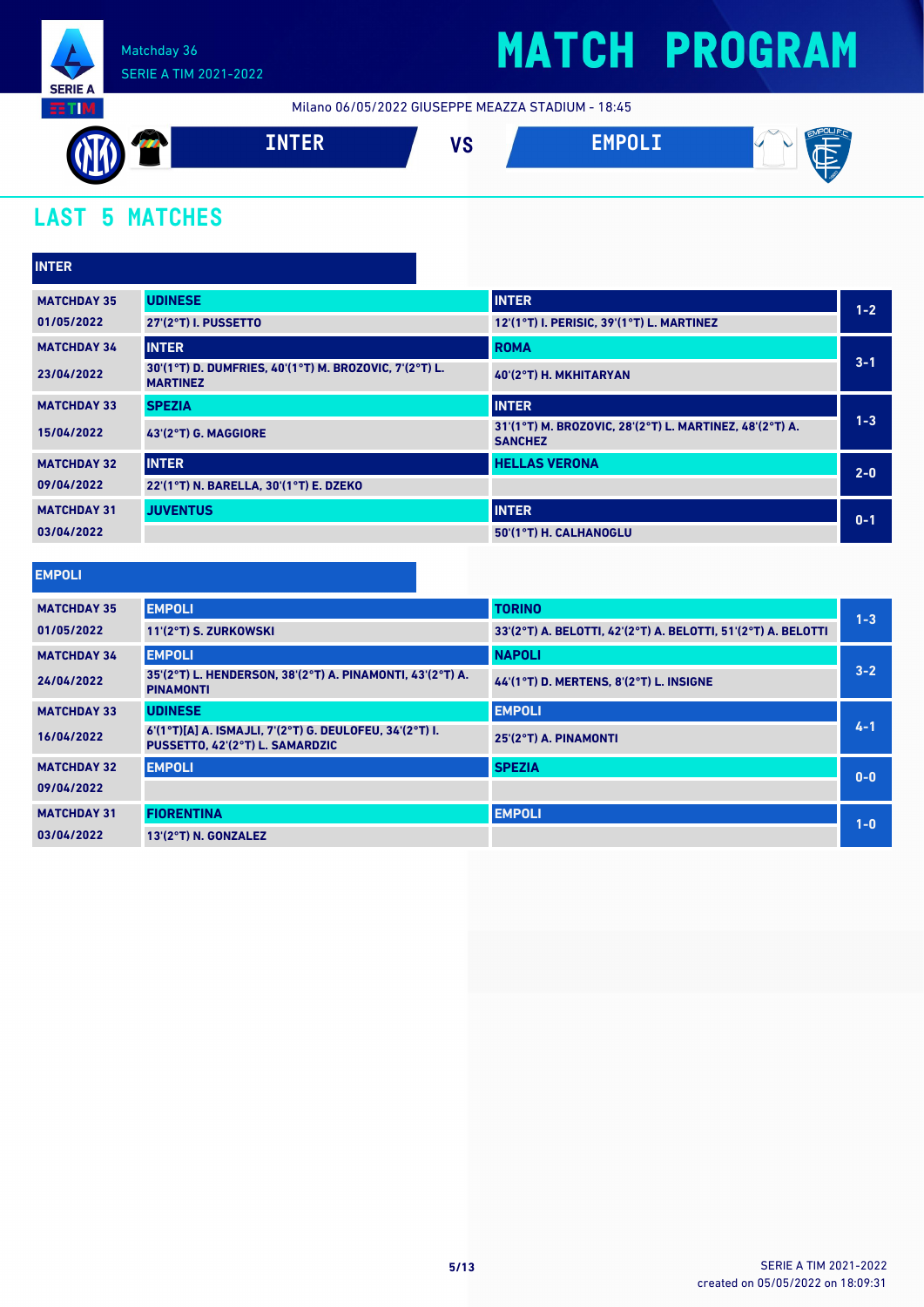

## **MATCH PROGRAM**

Milano 06/05/2022 GIUSEPPE MEAZZA STADIUM - 18:45



### **LAST 5 MATCHES**

| <b>INTER</b>       |                                                                           |                                                                           |         |
|--------------------|---------------------------------------------------------------------------|---------------------------------------------------------------------------|---------|
| <b>MATCHDAY 35</b> | <b>UDINESE</b>                                                            | <b>INTER</b>                                                              | $1 - 2$ |
| 01/05/2022         | 27'(2°T) I. PUSSETTO                                                      | 12'(1°T) I. PERISIC, 39'(1°T) L. MARTINEZ                                 |         |
| <b>MATCHDAY 34</b> | <b>INTER</b>                                                              | <b>ROMA</b>                                                               |         |
| 23/04/2022         | 30'(1°T) D. DUMFRIES, 40'(1°T) M. BROZOVIC, 7'(2°T) L.<br><b>MARTINEZ</b> | 40'(2°T) H. MKHITARYAN                                                    | $3 - 1$ |
| <b>MATCHDAY 33</b> | <b>SPEZIA</b>                                                             | <b>INTER</b>                                                              |         |
| 15/04/2022         | 43'(2°T) G. MAGGIORE                                                      | 31'(1°T) M. BROZOVIC, 28'(2°T) L. MARTINEZ, 48'(2°T) A.<br><b>SANCHEZ</b> | $1 - 3$ |
| <b>MATCHDAY 32</b> | <b>INTER</b>                                                              | <b>HELLAS VERONA</b>                                                      | $2 - 0$ |
| 09/04/2022         | 22'(1°T) N. BARELLA, 30'(1°T) E. DZEKO                                    |                                                                           |         |
| <b>MATCHDAY 31</b> | <b>JUVENTUS</b>                                                           | <b>INTER</b>                                                              | $0 - 1$ |
| 03/04/2022         |                                                                           | 50'(1°T) H. CALHANOGLU                                                    |         |

| <b>EMPOLI</b>      |                                                                                            |                                                               |         |
|--------------------|--------------------------------------------------------------------------------------------|---------------------------------------------------------------|---------|
| <b>MATCHDAY 35</b> | <b>EMPOLI</b>                                                                              | <b>TORINO</b>                                                 | $1 - 3$ |
| 01/05/2022         | 11'(2°T) S. ZURKOWSKI                                                                      | 33'(2°T) A. BELOTTI, 42'(2°T) A. BELOTTI, 51'(2°T) A. BELOTTI |         |
| <b>MATCHDAY 34</b> | <b>EMPOLI</b>                                                                              | <b>NAPOLI</b>                                                 |         |
| 24/04/2022         | 35'(2°T) L. HENDERSON, 38'(2°T) A. PINAMONTI, 43'(2°T) A.<br><b>PINAMONTI</b>              | 44'(1°T) D. MERTENS, 8'(2°T) L. INSIGNE                       | $3 - 2$ |
| <b>MATCHDAY 33</b> | <b>UDINESE</b>                                                                             | <b>EMPOLI</b>                                                 |         |
| 16/04/2022         | 6'(1°T)[A] A. ISMAJLI, 7'(2°T) G. DEULOFEU, 34'(2°T) I.<br>PUSSETTO, 42'(2°T) L. SAMARDZIC | 25'(2°T) A. PINAMONTI                                         | $4 - 1$ |
| <b>MATCHDAY 32</b> | <b>EMPOLI</b>                                                                              | <b>SPEZIA</b>                                                 | $0-0$   |
| 09/04/2022         |                                                                                            |                                                               |         |
| <b>MATCHDAY 31</b> | <b>FIORENTINA</b>                                                                          | <b>EMPOLI</b>                                                 | $1-0$   |
| 03/04/2022         | 13'(2°T) N. GONZALEZ                                                                       |                                                               |         |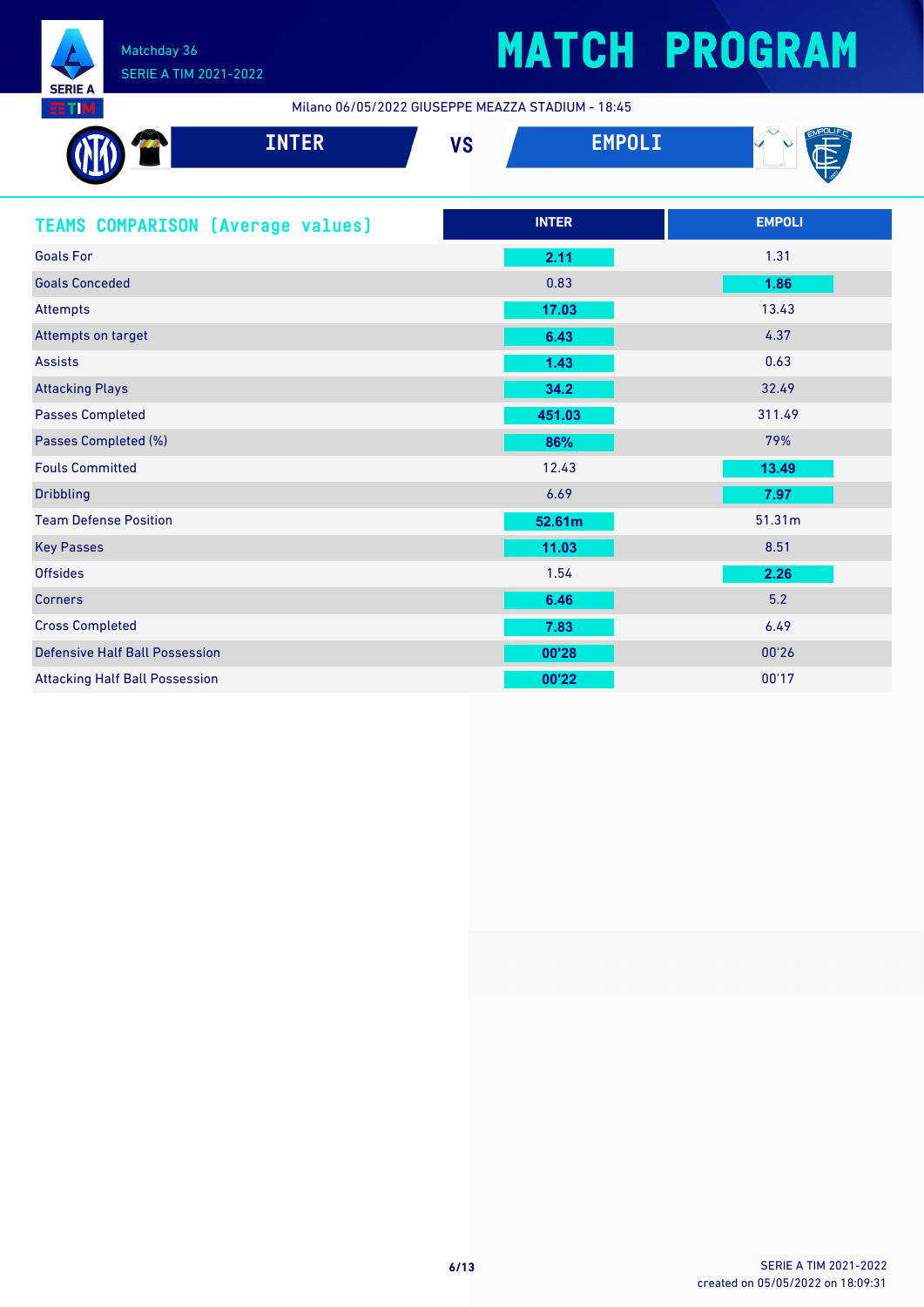

Milano 06/05/2022 GIUSEPPE MEAZZA STADIUM - 18:45

| <b>INTER</b>                             | <b>VS</b> | <b>EMPOLI</b> |               |
|------------------------------------------|-----------|---------------|---------------|
|                                          |           |               |               |
| <b>TEAMS COMPARISON (Average values)</b> |           | <b>INTER</b>  | <b>EMPOLI</b> |
| <b>Goals For</b>                         |           | 2.11          | 1.31          |
| <b>Goals Conceded</b>                    |           | 0.83          | 1.86          |
| <b>Attempts</b>                          |           | 17.03         | 13.43         |
| Attempts on target                       |           | 6.43          | 4.37          |
| <b>Assists</b>                           |           | 1.43          | 0.63          |
| <b>Attacking Plays</b>                   |           | 34.2          | 32.49         |
| <b>Passes Completed</b>                  |           | 451.03        | 311.49        |
| Passes Completed (%)                     |           | 86%           | 79%           |
| <b>Fouls Committed</b>                   |           | 12.43         | 13.49         |
| <b>Dribbling</b>                         |           | 6.69          | 7.97          |
| <b>Team Defense Position</b>             |           | 52.61m        | 51.31m        |
| <b>Key Passes</b>                        |           | 11.03         | 8.51          |
| <b>Offsides</b>                          |           | 1.54          | 2.26          |
| <b>Corners</b>                           |           | 6.46          | 5.2           |
| <b>Cross Completed</b>                   |           | 7.83          | 6.49          |
| <b>Defensive Half Ball Possession</b>    |           | 00'28         | 00'26         |
| <b>Attacking Half Ball Possession</b>    |           | 00'22         | 00'17         |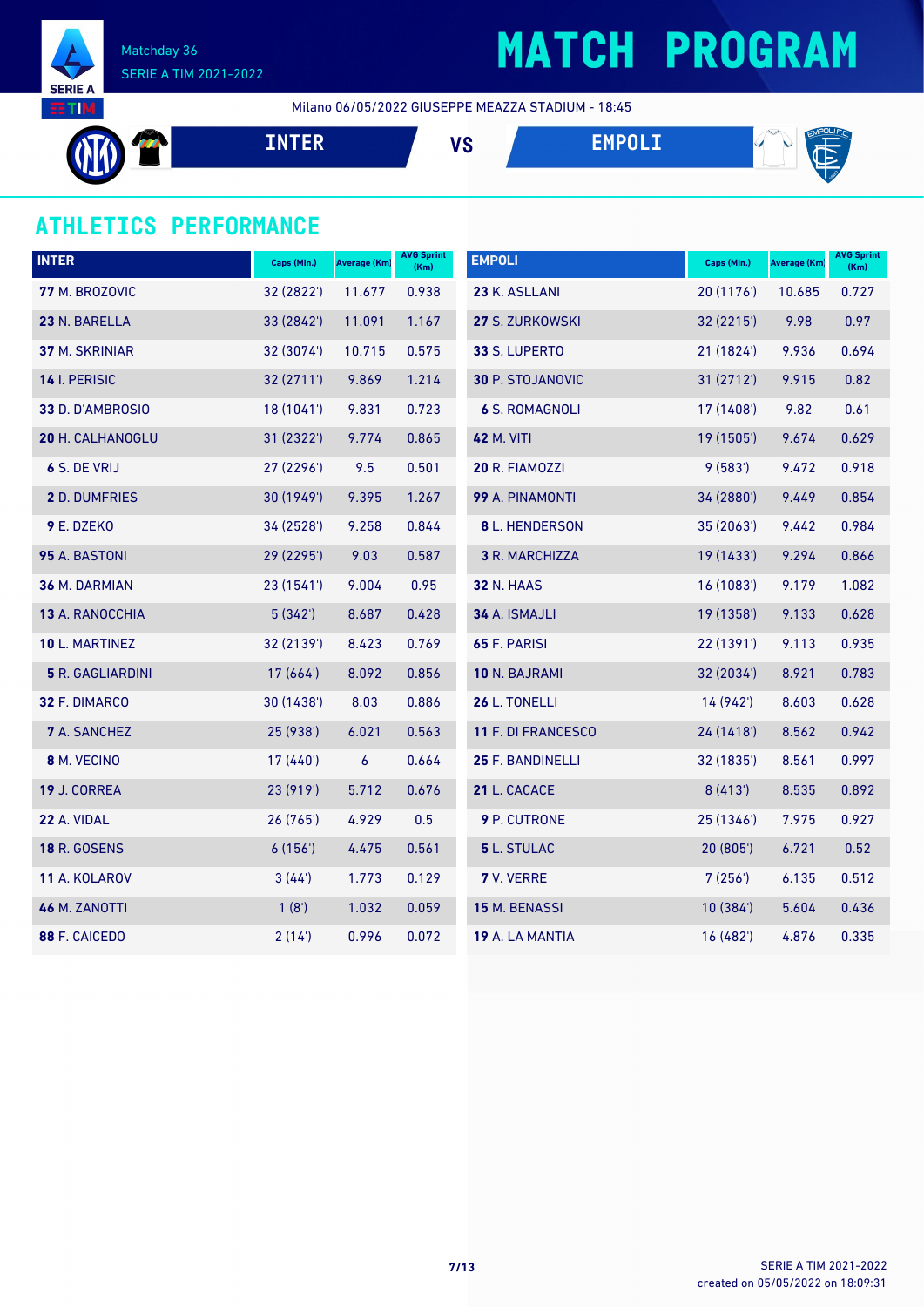

## **MATCH PROGRAM**

Milano 06/05/2022 GIUSEPPE MEAZZA STADIUM - 18:45

$$
\begin{array}{c}\n\text{M} \\
\text{M}\n\end{array}
$$

#### **ATHLETICS PERFORMANCE**

| <b>INTER</b>            | Caps (Min.) | <b>Average (Km)</b> | <b>AVG Sprint</b><br>(Km) | <b>EMPOLI</b>         | Caps (Min.) | Average (Km) | <b>AVG Sprint</b><br>(Km) |
|-------------------------|-------------|---------------------|---------------------------|-----------------------|-------------|--------------|---------------------------|
| 77 M. BROZOVIC          | 32 (2822')  | 11.677              | 0.938                     | 23 K. ASLLANI         | 20 (1176)   | 10.685       | 0.727                     |
| 23 N. BARELLA           | 33 (2842')  | 11.091              | 1.167                     | 27 S. ZURKOWSKI       | 32 (2215')  | 9.98         | 0.97                      |
| 37 M. SKRINIAR          | 32 (3074')  | 10.715              | 0.575                     | 33 S. LUPERTO         | 21(1824)    | 9.936        | 0.694                     |
| 14 I. PERISIC           | 32 (2711')  | 9.869               | 1.214                     | 30 P. STOJANOVIC      | 31 (2712')  | 9.915        | 0.82                      |
| 33 D. D'AMBROSIO        | 18 (1041')  | 9.831               | 0.723                     | <b>6 S. ROMAGNOLI</b> | 17 (1408')  | 9.82         | 0.61                      |
| 20 H. CALHANOGLU        | 31 (2322')  | 9.774               | 0.865                     | <b>42 M. VITI</b>     | 19 (1505')  | 9.674        | 0.629                     |
| 6 S. DE VRIJ            | 27 (2296')  | 9.5                 | 0.501                     | 20 R. FIAMOZZI        | 9(583)      | 9.472        | 0.918                     |
| 2 D. DUMFRIES           | 30 (1949')  | 9.395               | 1.267                     | 99 A. PINAMONTI       | 34 (2880')  | 9.449        | 0.854                     |
| 9 E. DZEKO              | 34 (2528')  | 9.258               | 0.844                     | 8 L. HENDERSON        | 35(2063)    | 9.442        | 0.984                     |
| 95 A. BASTONI           | 29 (2295')  | 9.03                | 0.587                     | 3 R. MARCHIZZA        | 19 (1433')  | 9.294        | 0.866                     |
| 36 M. DARMIAN           | 23 (1541')  | 9.004               | 0.95                      | <b>32 N. HAAS</b>     | 16 (1083')  | 9.179        | 1.082                     |
| 13 A. RANOCCHIA         | 5(342)      | 8.687               | 0.428                     | 34 A. ISMAJLI         | 19 (1358')  | 9.133        | 0.628                     |
| 10 L. MARTINEZ          | 32 (2139')  | 8.423               | 0.769                     | 65 F. PARISI          | 22 (1391')  | 9.113        | 0.935                     |
| <b>5</b> R. GAGLIARDINI | 17(664)     | 8.092               | 0.856                     | 10 N. BAJRAMI         | 32 (2034')  | 8.921        | 0.783                     |
| 32 F. DIMARCO           | 30 (1438')  | 8.03                | 0.886                     | 26 L. TONELLI         | 14 (942')   | 8.603        | 0.628                     |
| <b>7</b> A. SANCHEZ     | 25 (938')   | 6.021               | 0.563                     | 11 F. DI FRANCESCO    | 24 (1418')  | 8.562        | 0.942                     |
| 8 M. VECINO             | 17 (440')   | 6                   | 0.664                     | 25 F. BANDINELLI      | 32 (1835')  | 8.561        | 0.997                     |
| 19 J. CORREA            | 23 (919')   | 5.712               | 0.676                     | 21 L. CACACE          | 8(413)      | 8.535        | 0.892                     |
| 22 A. VIDAL             | 26(765)     | 4.929               | 0.5                       | 9 P. CUTRONE          | 25 (1346')  | 7.975        | 0.927                     |
| <b>18 R. GOSENS</b>     | 6(156)      | 4.475               | 0.561                     | 5 L. STULAC           | 20 (805')   | 6.721        | 0.52                      |
| 11 A. KOLAROV           | 3(44)       | 1.773               | 0.129                     | 7 V. VERRE            | 7(256)      | 6.135        | 0.512                     |
| 46 M. ZANOTTI           | 1(8')       | 1.032               | 0.059                     | 15 M. BENASSI         | 10(384)     | 5.604        | 0.436                     |
| 88 F. CAICEDO           | 2(14)       | 0.996               | 0.072                     | 19 A. LA MANTIA       | 16 (482')   | 4.876        | 0.335                     |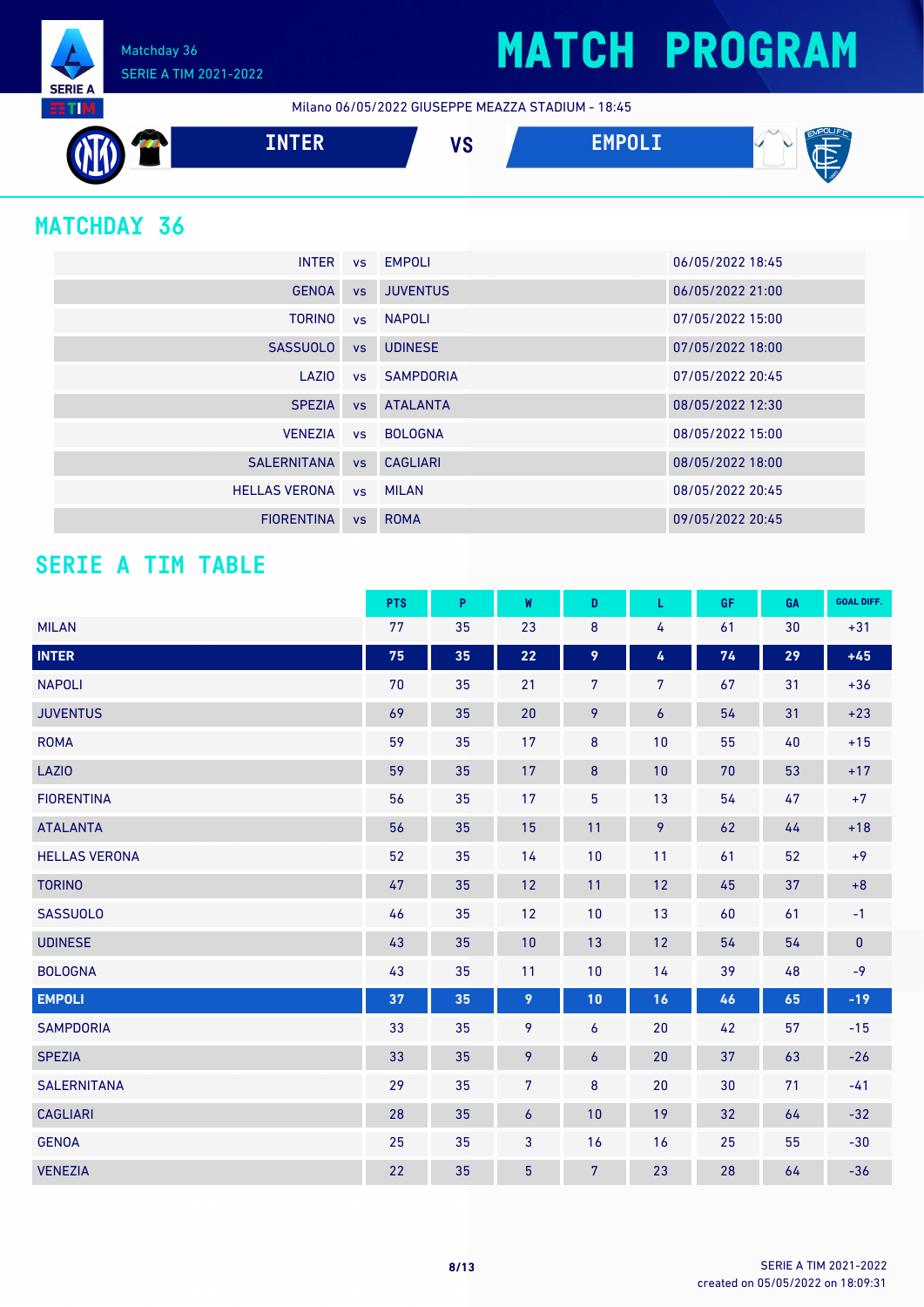Matchday 36 SERIE A TIM 2021-2022

Milano 06/05/2022 GIUSEPPE MEAZZA STADIUM - 18:45



### **MATCHDAY 36**

**SERIE A RETIM** 

|                      |           | INTER vs EMPOLI | 06/05/2022 18:45 |
|----------------------|-----------|-----------------|------------------|
| <b>GENOA</b>         |           | vs JUVENTUS     | 06/05/2022 21:00 |
| <b>TORINO</b>        |           | vs NAPOLI       | 07/05/2022 15:00 |
| <b>SASSUOLO</b>      | <b>VS</b> | <b>UDINESE</b>  | 07/05/2022 18:00 |
| LAZIO                |           | vs SAMPDORIA    | 07/05/2022 20:45 |
| <b>SPEZIA</b>        | <b>VS</b> | <b>ATALANTA</b> | 08/05/2022 12:30 |
| <b>VENEZIA</b>       |           | ys BOLOGNA      | 08/05/2022 15:00 |
| <b>SALERNITANA</b>   |           | vs CAGLIARI     | 08/05/2022 18:00 |
| <b>HELLAS VERONA</b> |           | vs MILAN        | 08/05/2022 20:45 |
| <b>FIORENTINA</b>    | VS        | <b>ROMA</b>     | 09/05/2022 20:45 |

#### **SERIE A TIM TABLE**

|                      | <b>PTS</b> | P  | W              | D                | L                | <b>GF</b> | GA | <b>GOAL DIFF.</b> |
|----------------------|------------|----|----------------|------------------|------------------|-----------|----|-------------------|
| <b>MILAN</b>         | 77         | 35 | 23             | 8                | 4                | 61        | 30 | $+31$             |
| <b>INTER</b>         | 75         | 35 | 22             | 9                | 4                | 74        | 29 | $+45$             |
| <b>NAPOLI</b>        | 70         | 35 | 21             | $\overline{7}$   | $\overline{7}$   | 67        | 31 | $+36$             |
| <b>JUVENTUS</b>      | 69         | 35 | 20             | 9                | $\boldsymbol{6}$ | 54        | 31 | $+23$             |
| <b>ROMA</b>          | 59         | 35 | 17             | 8                | 10               | 55        | 40 | $+15$             |
| <b>LAZIO</b>         | 59         | 35 | 17             | 8                | 10               | $70\,$    | 53 | $+17$             |
| <b>FIORENTINA</b>    | 56         | 35 | 17             | $\overline{5}$   | 13               | 54        | 47 | $+7$              |
| <b>ATALANTA</b>      | 56         | 35 | 15             | 11               | 9                | 62        | 44 | $+18$             |
| <b>HELLAS VERONA</b> | 52         | 35 | 14             | 10               | 11               | 61        | 52 | $+9$              |
| <b>TORINO</b>        | 47         | 35 | 12             | 11               | 12               | 45        | 37 | $+8$              |
| <b>SASSUOLO</b>      | 46         | 35 | 12             | 10               | 13               | 60        | 61 | $-1$              |
| <b>UDINESE</b>       | 43         | 35 | 10             | 13               | 12               | 54        | 54 | $\pmb{0}$         |
| <b>BOLOGNA</b>       | 43         | 35 | 11             | 10               | 14               | 39        | 48 | $-9$              |
| <b>EMPOLI</b>        | 37         | 35 | 9              | 10               | 16               | 46        | 65 | $-19$             |
| <b>SAMPDORIA</b>     | 33         | 35 | 9              | 6                | 20               | 42        | 57 | $-15$             |
| <b>SPEZIA</b>        | 33         | 35 | 9              | $\boldsymbol{6}$ | 20               | 37        | 63 | $-26$             |
| <b>SALERNITANA</b>   | 29         | 35 | $\overline{7}$ | 8                | 20               | 30        | 71 | $-41$             |
| <b>CAGLIARI</b>      | 28         | 35 | 6              | 10               | 19               | 32        | 64 | $-32$             |
| <b>GENOA</b>         | 25         | 35 | $\mathbf{3}$   | 16               | 16               | 25        | 55 | $-30$             |
| <b>VENEZIA</b>       | 22         | 35 | $\overline{5}$ | $\overline{7}$   | 23               | 28        | 64 | $-36$             |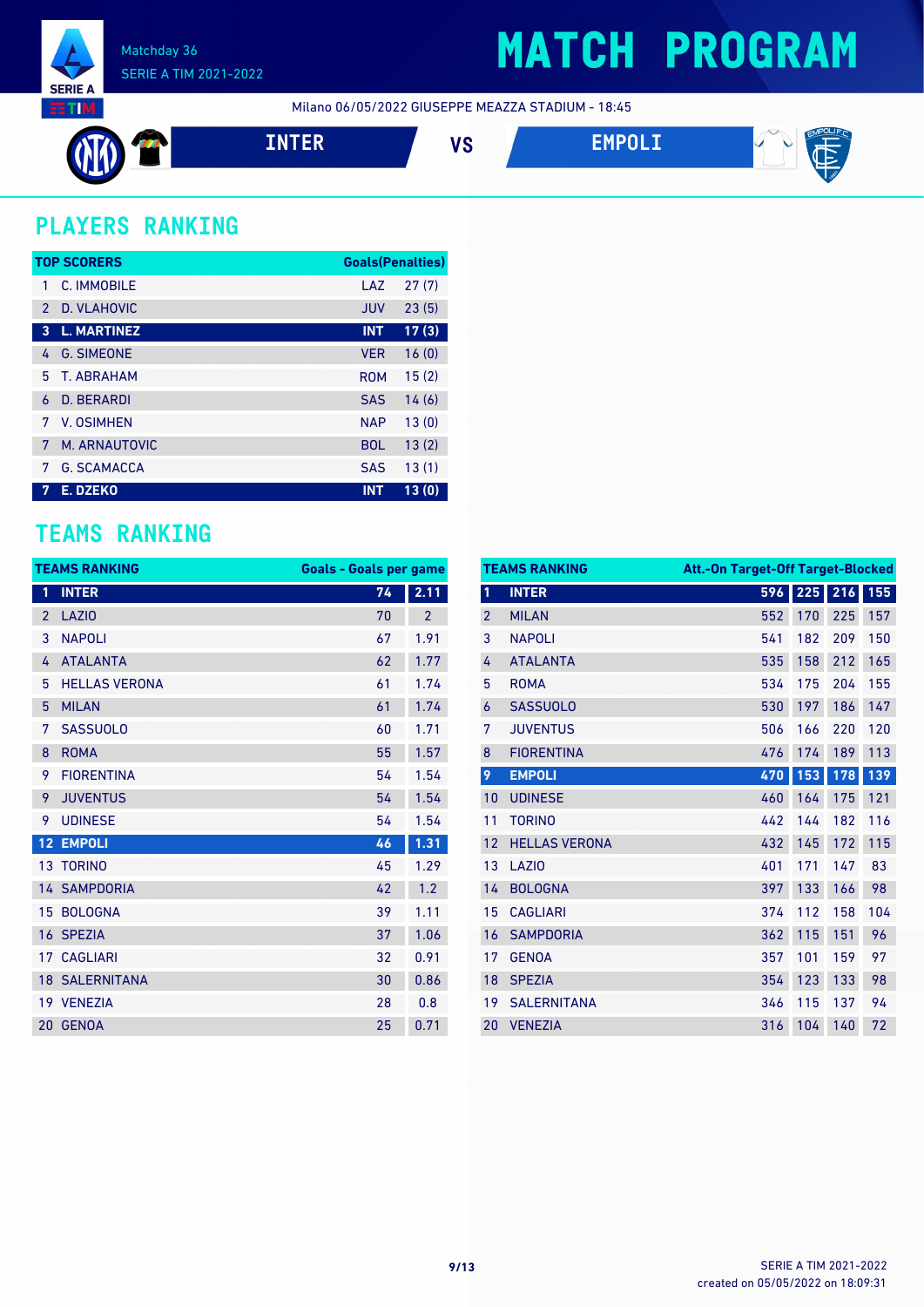

### **MATCH PROGRAM**

Milano 06/05/2022 GIUSEPPE MEAZZA STADIUM - 18:45



### **PLAYERS RANKING**

|                | <b>TOP SCORERS</b> | <b>Goals(Penalties)</b> |       |
|----------------|--------------------|-------------------------|-------|
| 1              | C. IMMOBILE        | LAZ                     | 27(7) |
| $\mathcal{P}$  | D. VLAHOVIC        | <b>JUV</b>              | 23(5) |
| 3              | <b>L. MARTINEZ</b> | <b>INT</b>              | 17(3) |
| 4              | <b>G. SIMEONE</b>  | <b>VER</b>              | 16(0) |
| 5.             | <b>T. ABRAHAM</b>  | <b>ROM</b>              | 15(2) |
| 6              | <b>D. BERARDI</b>  | <b>SAS</b>              | 14(6) |
| 7              | V. OSIMHEN         | <b>NAP</b>              | 13(0) |
| 7              | M. ARNAUTOVIC      | <b>BOL</b>              | 13(2) |
| 7              | <b>G. SCAMACCA</b> | <b>SAS</b>              | 13(1) |
| $\overline{7}$ | E. DZEKO           | <b>INT</b>              | 13(0) |

#### **TEAMS RANKING**

|                | <b>TEAMS RANKING</b>  | <b>Goals - Goals per game</b> |                |
|----------------|-----------------------|-------------------------------|----------------|
| 1              | <b>INTER</b>          | 74                            | 2.11           |
| $\overline{2}$ | <b>LAZIO</b>          | 70                            | $\overline{2}$ |
| 3              | <b>NAPOLI</b>         | 67                            | 1.91           |
| 4              | <b>ATALANTA</b>       | 62                            | 1.77           |
| 5              | <b>HELLAS VERONA</b>  | 61                            | 1.74           |
| 5              | <b>MILAN</b>          | 61                            | 1.74           |
| 7              | <b>SASSUOLO</b>       | 60                            | 1.71           |
| 8              | <b>ROMA</b>           | 55                            | 1.57           |
| 9              | <b>FIORENTINA</b>     | 54                            | 1.54           |
| 9              | <b>JUVENTUS</b>       | 54                            | 1.54           |
| 9              | <b>UDINESE</b>        | 54                            | 1.54           |
| 12             | <b>EMPOLI</b>         | 46                            | 1.31           |
|                | 13 TORINO             | 45                            | 1.29           |
|                | <b>14 SAMPDORIA</b>   | 42                            | 1.2            |
| 15             | <b>BOLOGNA</b>        | 39                            | 1.11           |
|                | 16 SPEZIA             | 37                            | 1.06           |
|                | <b>17 CAGLIARI</b>    | 32                            | 0.91           |
|                | <b>18 SALERNITANA</b> | 30                            | 0.86           |
|                | 19 VENEZIA            | 28                            | 0.8            |
| 20             | <b>GENOA</b>          | 25                            | 0.71           |

|                | <b>TEAMS RANKING</b> | Att.-On Target-Off Target-Blocked |         |     |     |
|----------------|----------------------|-----------------------------------|---------|-----|-----|
| 1              | <b>INTER</b>         |                                   | 596 225 | 216 | 155 |
| $\overline{2}$ | <b>MILAN</b>         | 552                               | 170     | 225 | 157 |
| 3              | <b>NAPOLI</b>        | 541                               | 182     | 209 | 150 |
| 4              | <b>ATALANTA</b>      | 535                               | 158     | 212 | 165 |
| 5              | <b>ROMA</b>          | 534                               | 175     | 204 | 155 |
| 6              | <b>SASSUOLO</b>      | 530                               | 197     | 186 | 147 |
| 7              | <b>JUVENTUS</b>      | 506                               | 166     | 220 | 120 |
| 8              | <b>FIORENTINA</b>    | 476                               | 174     | 189 | 113 |
| 9              | <b>EMPOLI</b>        | 470                               | 153     | 178 | 139 |
| 10             | <b>UDINESE</b>       | 460                               | 164     | 175 | 121 |
| 11             | <b>TORINO</b>        | 442                               | 144     | 182 | 116 |
| 12             | <b>HELLAS VERONA</b> | 432                               | 145     | 172 | 115 |
| 13             | LAZI <sub>0</sub>    | 401                               | 171     | 147 | 83  |
| 14             | <b>BOLOGNA</b>       | 397                               | 133     | 166 | 98  |
| 15             | <b>CAGLIARI</b>      | 374                               | 112     | 158 | 104 |
| 16             | <b>SAMPDORIA</b>     | 362                               | 115     | 151 | 96  |
| 17             | <b>GENOA</b>         | 357                               | 101     | 159 | 97  |
| 18             | <b>SPEZIA</b>        | 354                               | 123     | 133 | 98  |
| 19             | <b>SALERNITANA</b>   | 346                               | 115     | 137 | 94  |
| 20             | <b>VENEZIA</b>       | 316                               | 104     | 140 | 72  |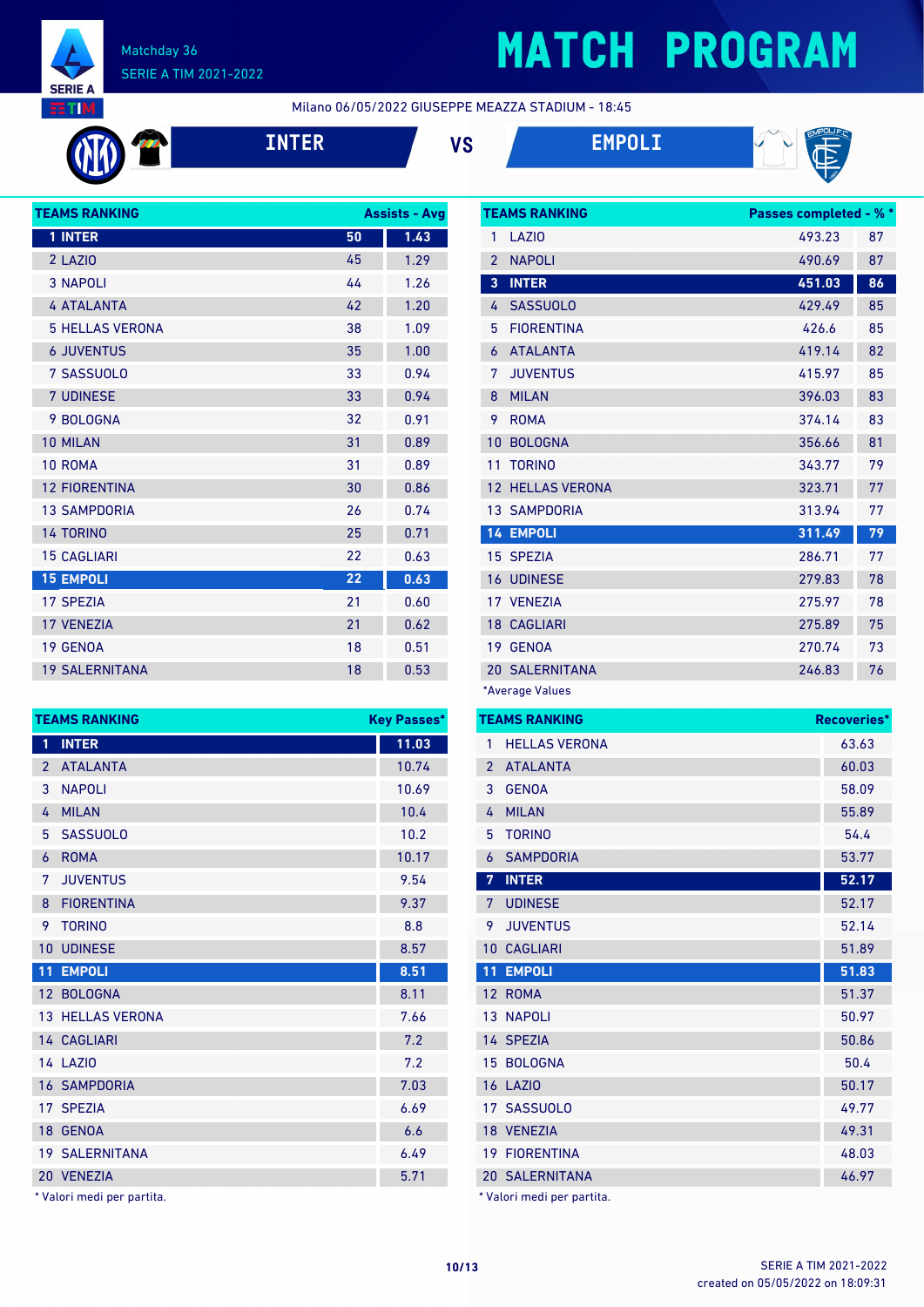

# **MATCH PROGRAM**

Milano 06/05/2022 GIUSEPPE MEAZZA STADIUM - 18:45







| <b>TEAMS RANKING</b>   | <b>Assists - Avg</b> |      |
|------------------------|----------------------|------|
| 1 INTER                | 50                   | 1.43 |
| 2 LAZIO                | 45                   | 1.29 |
| <b>3 NAPOLI</b>        | 44                   | 1.26 |
| <b>4 ATALANTA</b>      | 42                   | 1.20 |
| <b>5 HELLAS VERONA</b> | 38                   | 1.09 |
| <b>6 JUVENTUS</b>      | 35                   | 1.00 |
| 7 SASSUOLO             | 33                   | 0.94 |
| <b>7 UDINESE</b>       | 33                   | 0.94 |
| 9 BOLOGNA              | 32                   | 0.91 |
| 10 MILAN               | 31                   | 0.89 |
| 10 ROMA                | 31                   | 0.89 |
| <b>12 FIORENTINA</b>   | 30                   | 0.86 |
| <b>13 SAMPDORIA</b>    | 26                   | 0.74 |
| <b>14 TORINO</b>       | 25                   | 0.71 |
| <b>15 CAGLIARI</b>     | 22                   | 0.63 |
| <b>15 EMPOLI</b>       | 22                   | 0.63 |
| <b>17 SPEZIA</b>       | 21                   | 0.60 |
| <b>17 VENEZIA</b>      | 21                   | 0.62 |
| 19 GENOA               | 18                   | 0.51 |
| <b>19 SALERNITANA</b>  | 18                   | 0.53 |
|                        |                      |      |

|                | <b>TEAMS RANKING</b><br><b>Key Passes*</b> |       |  |
|----------------|--------------------------------------------|-------|--|
| 1              | <b>INTER</b>                               | 11.03 |  |
| $\overline{2}$ | <b>ATALANTA</b>                            | 10.74 |  |
| 3              | <b>NAPOLI</b>                              | 10.69 |  |
| 4              | <b>MILAN</b>                               | 10.4  |  |
| 5              | <b>SASSUOLO</b>                            | 10.2  |  |
| 6              | <b>ROMA</b>                                | 10.17 |  |
| 7              | <b>JUVENTUS</b>                            | 9.54  |  |
| 8              | <b>FIORENTINA</b>                          | 9.37  |  |
| 9              | <b>TORINO</b>                              | 8.8   |  |
| 10             | <b>UDINESE</b>                             | 8.57  |  |
| 11             | <b>EMPOLI</b>                              | 8.51  |  |
|                | 12 BOLOGNA                                 | 8.11  |  |
|                | <b>13 HELLAS VERONA</b>                    | 7.66  |  |
|                | 14 CAGLIARI                                | 7.2   |  |
|                | 14 LAZIO                                   | 7.2   |  |
|                | <b>16 SAMPDORIA</b>                        | 7.03  |  |
| 17             | <b>SPEZIA</b>                              | 6.69  |  |
|                | 18 GENOA                                   | 6.6   |  |
|                | <b>19 SALERNITANA</b>                      | 6.49  |  |
|                | 20 VENEZIA                                 | 5.71  |  |

\* Valori medi per partita.

|                | <b>TEAMS RANKING</b>    | <b>Passes completed - % *</b> |    |
|----------------|-------------------------|-------------------------------|----|
| 1              | LAZI <sub>0</sub>       | 493.23                        | 87 |
| $\overline{2}$ | <b>NAPOLI</b>           | 490.69                        | 87 |
| 3              | <b>INTER</b>            | 451.03                        | 86 |
| 4              | <b>SASSUOLO</b>         | 429.49                        | 85 |
| 5              | <b>FIORENTINA</b>       | 426.6                         | 85 |
| 6              | <b>ATALANTA</b>         | 419.14                        | 82 |
| 7              | <b>JUVENTUS</b>         | 415.97                        | 85 |
| 8              | <b>MILAN</b>            | 396.03                        | 83 |
| 9              | <b>ROMA</b>             | 374.14                        | 83 |
| 10             | <b>BOLOGNA</b>          | 356.66                        | 81 |
| 11             | <b>TORINO</b>           | 343.77                        | 79 |
|                | <b>12 HELLAS VERONA</b> | 323.71                        | 77 |
|                | <b>13 SAMPDORIA</b>     | 313.94                        | 77 |
|                | <b>14 EMPOLI</b>        | 311.49                        | 79 |
|                | 15 SPEZIA               | 286.71                        | 77 |
|                | <b>16 UDINESE</b>       | 279.83                        | 78 |
|                | 17 VENEZIA              | 275.97                        | 78 |
|                | <b>18 CAGLIARI</b>      | 275.89                        | 75 |
|                | 19 GENOA                | 270.74                        | 73 |
|                | <b>20 SALERNITANA</b>   | 246.83                        | 76 |
|                | *Average Values         |                               |    |

| <b>TEAMS RANKING</b><br>Recoveries* |                            |       |
|-------------------------------------|----------------------------|-------|
| 1                                   | <b>HELLAS VERONA</b>       | 63.63 |
| $\overline{2}$                      | <b>ATALANTA</b>            | 60.03 |
| 3                                   | <b>GENOA</b>               | 58.09 |
| 4                                   | <b>MILAN</b>               | 55.89 |
| 5                                   | <b>TORINO</b>              | 54.4  |
| 6                                   | <b>SAMPDORIA</b>           | 53.77 |
| 7                                   | <b>INTER</b>               | 52.17 |
| 7                                   | <b>UDINESE</b>             | 52.17 |
| 9                                   | <b>JUVENTUS</b>            | 52.14 |
| 10                                  | <b>CAGLIARI</b>            | 51.89 |
| 11                                  | <b>EMPOLI</b>              | 51.83 |
|                                     | 12 ROMA                    | 51.37 |
|                                     | <b>13 NAPOLI</b>           | 50.97 |
|                                     | 14 SPEZIA                  | 50.86 |
|                                     | 15 BOLOGNA                 | 50.4  |
|                                     | <b>16 LAZIO</b>            | 50.17 |
|                                     | 17 SASSUOLO                | 49.77 |
|                                     | 18 VENEZIA                 | 49.31 |
|                                     | <b>19 FIORENTINA</b>       | 48.03 |
|                                     | <b>20 SALERNITANA</b>      | 46.97 |
|                                     | * Valori medi per partita. |       |

created on 05/05/2022 on 18:09:31 **10/13** SERIE A TIM 2021-2022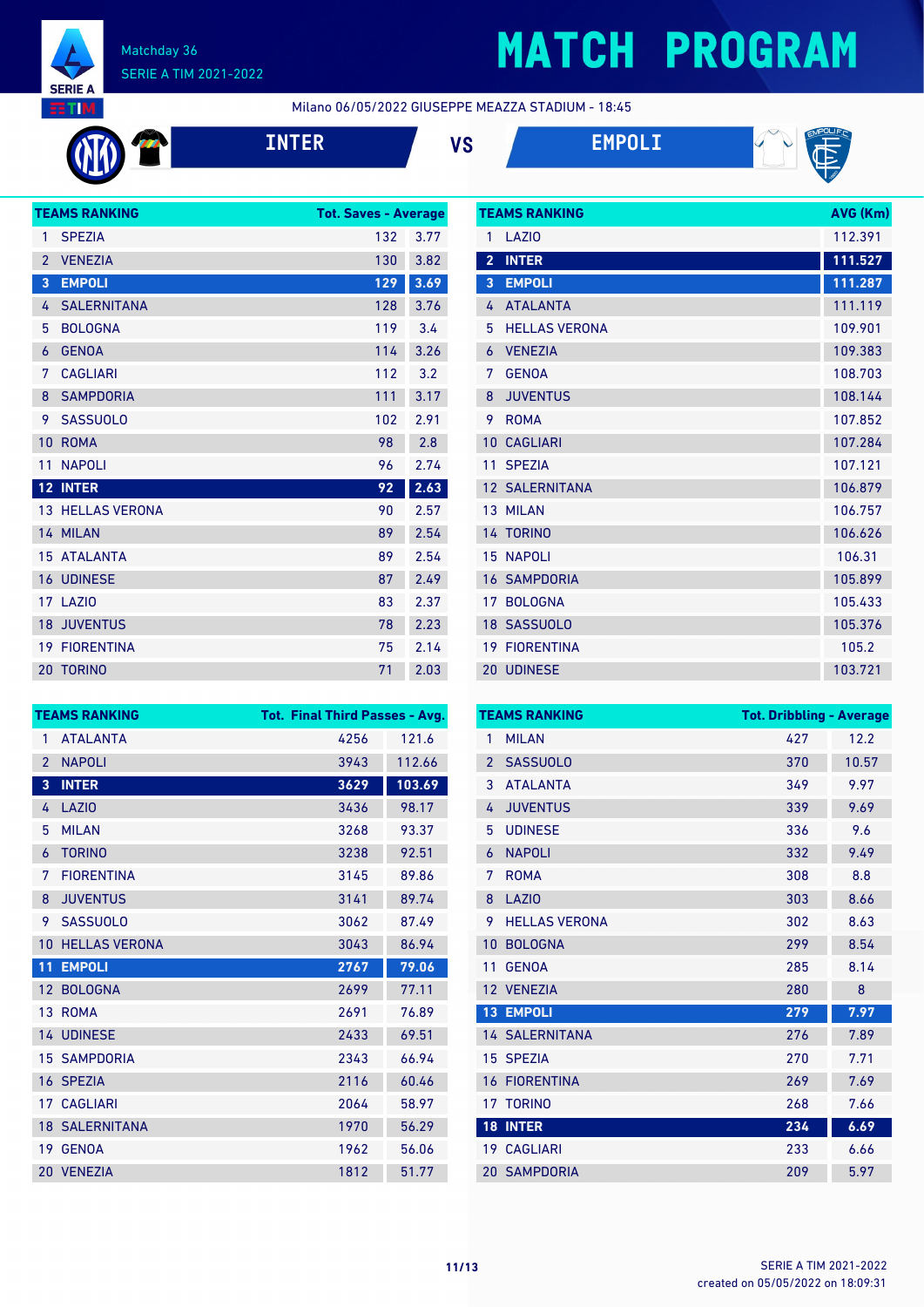

# **MATCH PROGRAM**

Milano 06/05/2022 GIUSEPPE MEAZZA STADIUM - 18:45



**INTER VS EMPOLI**





|                 | <b>TEAMS RANKING</b>    | <b>Tot. Saves - Average</b> |      |
|-----------------|-------------------------|-----------------------------|------|
| 1               | <b>SPEZIA</b>           | 132                         | 3.77 |
| $\overline{2}$  | <b>VENEZIA</b>          | 130                         | 3.82 |
| 3               | <b>EMPOLI</b>           | 129                         | 3.69 |
| 4               | <b>SALERNITANA</b>      | 128                         | 3.76 |
| 5               | <b>BOLOGNA</b>          | 119                         | 3.4  |
| 6               | <b>GENOA</b>            | 114                         | 3.26 |
| 7               | <b>CAGLIARI</b>         | 112                         | 3.2  |
| 8               | <b>SAMPDORIA</b>        | 111                         | 3.17 |
| 9               | <b>SASSUOLO</b>         | 102                         | 2.91 |
| 10              | <b>ROMA</b>             | 98                          | 2.8  |
| 11              | <b>NAPOLI</b>           | 96                          | 2.74 |
| 12 <sup>7</sup> | <b>INTER</b>            | 92                          | 2.63 |
|                 | <b>13 HELLAS VERONA</b> | 90                          | 2.57 |
|                 | 14 MILAN                | 89                          | 2.54 |
| 15              | <b>ATALANTA</b>         | 89                          | 2.54 |
| 16              | <b>UDINESE</b>          | 87                          | 2.49 |
| 17              | <b>LAZIO</b>            | 83                          | 2.37 |
| 18              | <b>JUVENTUS</b>         | 78                          | 2.23 |
| 19              | <b>FIORENTINA</b>       | 75                          | 2.14 |
| 20              | <b>TORINO</b>           | 71                          | 2.03 |
|                 |                         |                             |      |

|                | <b>TEAMS RANKING</b>  | AVG (Km) |
|----------------|-----------------------|----------|
| 1              | LAZI <sub>0</sub>     | 112.391  |
| $\overline{2}$ | <b>INTER</b>          | 111.527  |
| 3              | <b>EMPOLI</b>         | 111.287  |
| 4              | <b>ATALANTA</b>       | 111.119  |
| 5              | <b>HELLAS VERONA</b>  | 109.901  |
| 6              | <b>VENEZIA</b>        | 109.383  |
| 7              | <b>GENOA</b>          | 108.703  |
| 8              | <b>JUVENTUS</b>       | 108.144  |
| 9              | <b>ROMA</b>           | 107.852  |
| 10             | <b>CAGLIARI</b>       | 107.284  |
| 11             | <b>SPEZIA</b>         | 107.121  |
|                | <b>12 SALERNITANA</b> | 106.879  |
|                | 13 MILAN              | 106.757  |
|                | 14 TORINO             | 106.626  |
|                | <b>15 NAPOLI</b>      | 106.31   |
|                | <b>16 SAMPDORIA</b>   | 105.899  |
| 17             | <b>BOLOGNA</b>        | 105.433  |
|                | 18 SASSUOLO           | 105.376  |
| 19             | <b>FIORENTINA</b>     | 105.2    |
|                | <b>20 UDINESE</b>     | 103.721  |

|                 | <b>TEAMS RANKING</b>  | <b>Tot. Final Third Passes - Avg.</b> |        |
|-----------------|-----------------------|---------------------------------------|--------|
| 1               | <b>ATALANTA</b>       | 4256                                  | 121.6  |
| $\overline{2}$  | <b>NAPOLI</b>         | 3943                                  | 112.66 |
| 3               | <b>INTER</b>          | 3629                                  | 103.69 |
| 4               | LAZI <sub>0</sub>     | 3436                                  | 98.17  |
| 5               | <b>MILAN</b>          | 3268                                  | 93.37  |
| 6               | <b>TORINO</b>         | 3238                                  | 92.51  |
| 7               | <b>FIORENTINA</b>     | 3145                                  | 89.86  |
| 8               | <b>JUVENTUS</b>       | 3141                                  | 89.74  |
| 9               | <b>SASSUOLO</b>       | 3062                                  | 87.49  |
| 10              | <b>HELLAS VERONA</b>  | 3043                                  | 86.94  |
| 11              | <b>EMPOLI</b>         | 2767                                  | 79.06  |
| 12 <sup>2</sup> | <b>BOLOGNA</b>        | 2699                                  | 77.11  |
|                 | 13 ROMA               | 2691                                  | 76.89  |
|                 | <b>14 UDINESE</b>     | 2433                                  | 69.51  |
|                 | <b>15 SAMPDORIA</b>   | 2343                                  | 66.94  |
| 16              | <b>SPEZIA</b>         | 2116                                  | 60.46  |
| 17 <sup>1</sup> | <b>CAGLIARI</b>       | 2064                                  | 58.97  |
|                 | <b>18 SALERNITANA</b> | 1970                                  | 56.29  |
| 19 <sup>°</sup> | <b>GENOA</b>          | 1962                                  | 56.06  |
|                 | 20 VENEZIA            | 1812                                  | 51.77  |

|                | <b>TEAMS RANKING</b>  | <b>Tot. Dribbling - Average</b> |       |
|----------------|-----------------------|---------------------------------|-------|
| 1              | <b>MILAN</b>          | 427                             | 12.2  |
| $\overline{2}$ | <b>SASSUOLO</b>       | 370                             | 10.57 |
| 3              | <b>ATALANTA</b>       | 349                             | 9.97  |
| 4              | <b>JUVENTUS</b>       | 339                             | 9.69  |
| 5              | <b>UDINESE</b>        | 336                             | 9.6   |
| 6              | <b>NAPOLI</b>         | 332                             | 9.49  |
| 7              | <b>ROMA</b>           | 308                             | 8.8   |
| 8              | LAZIO                 | 303                             | 8.66  |
| 9              | <b>HELLAS VERONA</b>  | 302                             | 8.63  |
| 10             | <b>BOLOGNA</b>        | 299                             | 8.54  |
| 11             | <b>GENOA</b>          | 285                             | 8.14  |
|                | 12 VENEZIA            | 280                             | 8     |
| 13             | <b>EMPOLI</b>         | 279                             | 7.97  |
|                | <b>14 SALERNITANA</b> | 276                             | 7.89  |
|                | 15 SPEZIA             | 270                             | 7.71  |
| 16             | <b>FIORENTINA</b>     | 269                             | 7.69  |
|                | 17 TORINO             | 268                             | 7.66  |
| 18             | <b>INTER</b>          | 234                             | 6.69  |
|                | 19 CAGLIARI           | 233                             | 6.66  |
|                | <b>20 SAMPDORIA</b>   | 209                             | 5.97  |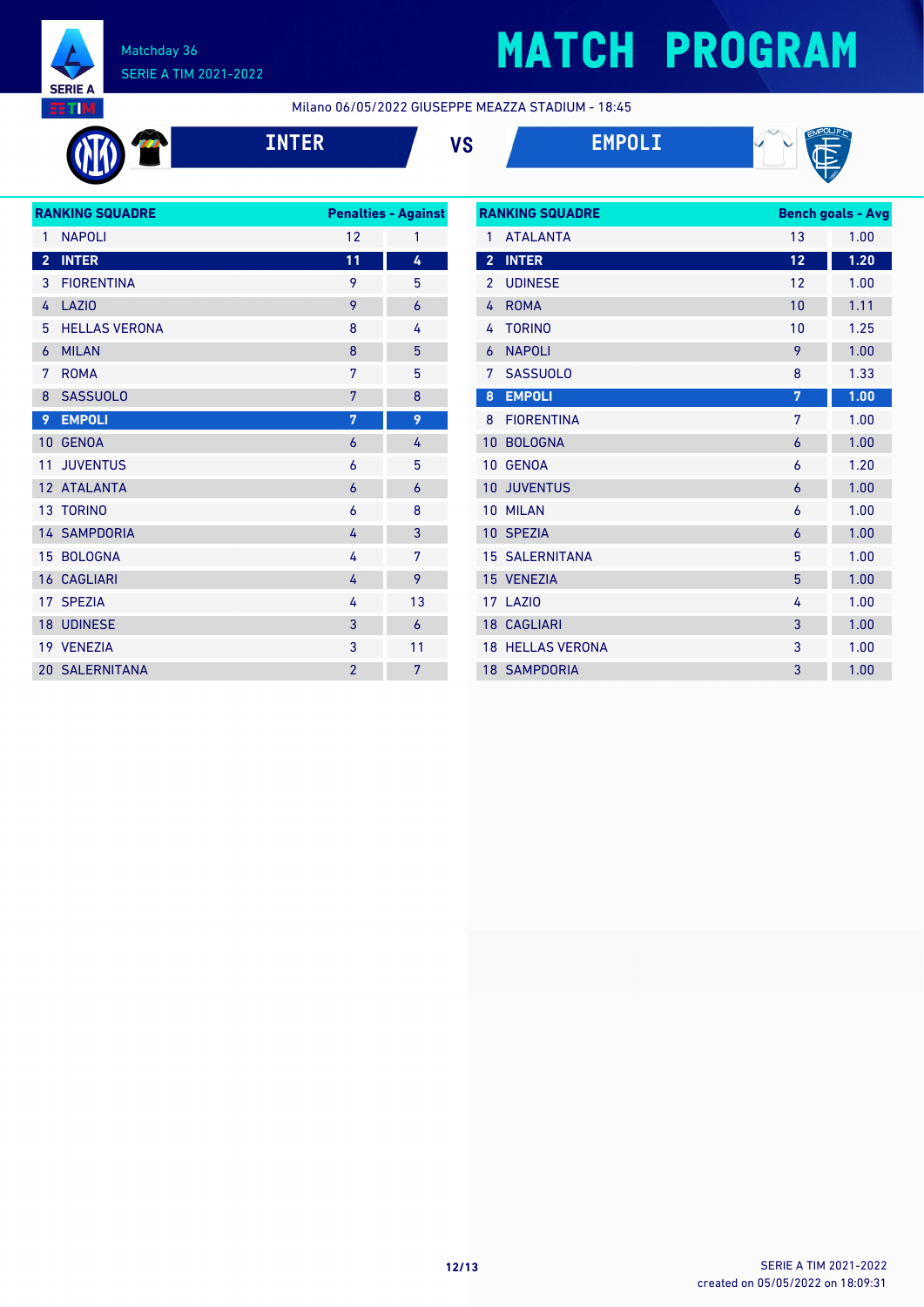

# **MATCH PROGRAM**

Milano 06/05/2022 GIUSEPPE MEAZZA STADIUM - 18:45









|                         | <b>RANKING SQUADRE</b> |                | <b>Penalties - Against</b> |
|-------------------------|------------------------|----------------|----------------------------|
| 1                       | <b>NAPOLI</b>          | 12             | 1                          |
| $\overline{\mathbf{2}}$ | <b>INTER</b>           | 11             | 4                          |
| 3                       | <b>FIORENTINA</b>      | 9              | 5                          |
| 4                       | <b>LAZIO</b>           | 9              | 6                          |
| 5                       | <b>HELLAS VERONA</b>   | 8              | 4                          |
| 6                       | <b>MILAN</b>           | 8              | 5                          |
| 7                       | <b>ROMA</b>            | 7              | 5                          |
| 8                       | <b>SASSUOLO</b>        | 7              | 8                          |
| 9                       | <b>EMPOLI</b>          | 7              | 9                          |
| 10                      | <b>GENOA</b>           | $\overline{6}$ | 4                          |
| 11                      | <b>JUVENTUS</b>        | 6              | 5                          |
|                         | 12 ATALANTA            | 6              | 6                          |
|                         | 13 TORINO              | 6              | 8                          |
|                         | <b>14 SAMPDORIA</b>    | 4              | 3                          |
|                         | 15 BOLOGNA             | 4              | 7                          |
|                         | <b>16 CAGLIARI</b>     | 4              | 9                          |
|                         | 17 SPEZIA              | 4              | 13                         |
|                         | <b>18 UDINESE</b>      | 3              | 6                          |
|                         | 19 VENEZIA             | 3              | 11                         |
|                         | <b>20 SALERNITANA</b>  | $\overline{2}$ | 7                          |
|                         |                        |                |                            |

| <b>RANKING SQUADRE</b> |                         |    | <b>Bench goals - Avg</b> |
|------------------------|-------------------------|----|--------------------------|
| 1                      | <b>ATALANTA</b>         | 13 | 1.00                     |
| $\overline{2}$         | <b>INTER</b>            | 12 | 1.20                     |
| $\overline{2}$         | <b>UDINESE</b>          | 12 | 1.00                     |
| 4                      | <b>ROMA</b>             | 10 | 1.11                     |
| 4                      | <b>TORINO</b>           | 10 | 1.25                     |
| 6                      | <b>NAPOLI</b>           | 9  | 1.00                     |
| 7                      | <b>SASSUOLO</b>         | 8  | 1.33                     |
| 8                      | <b>EMPOLI</b>           | 7  | 1.00                     |
| 8                      | <b>FIORENTINA</b>       | 7  | 1.00                     |
| 10                     | <b>BOLOGNA</b>          | 6  | 1.00                     |
| 10                     | <b>GENOA</b>            | 6  | 1.20                     |
| 10 <sup>1</sup>        | <b>JUVENTUS</b>         | 6  | 1.00                     |
| 10                     | <b>MILAN</b>            | 6  | 1.00                     |
|                        | 10 SPEZIA               | 6  | 1.00                     |
|                        | <b>15 SALERNITANA</b>   | 5  | 1.00                     |
| 15                     | <b>VENEZIA</b>          | 5  | 1.00                     |
|                        | <b>17 LAZIO</b>         | 4  | 1.00                     |
|                        | <b>18 CAGLIARI</b>      | 3  | 1.00                     |
|                        | <b>18 HELLAS VERONA</b> | 3  | 1.00                     |
|                        | <b>18 SAMPDORIA</b>     | 3  | 1.00                     |